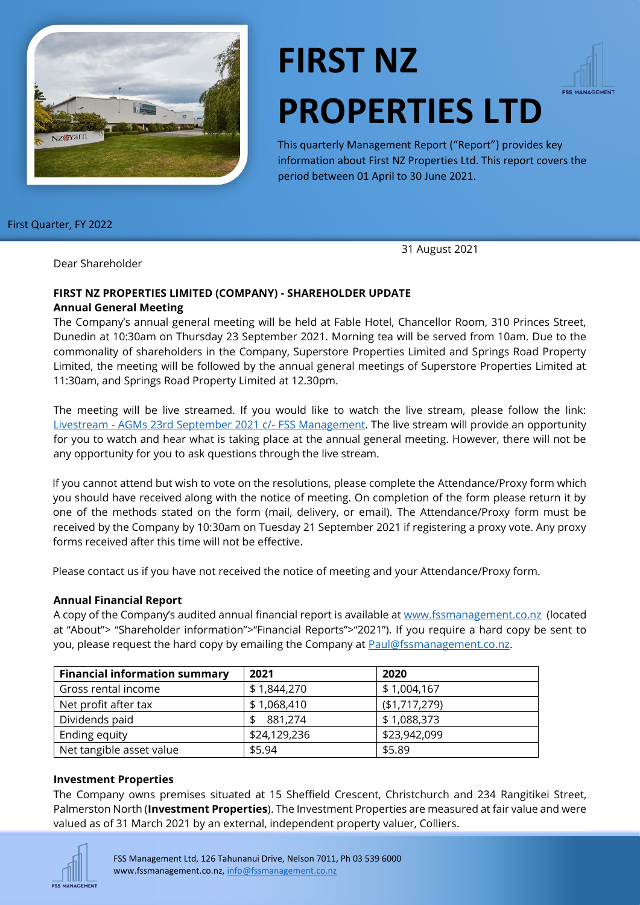

# **FIRST NZ PROPERTIES LTD**



This quarterly Management Report ("Report") provides key information about First NZ Properties Ltd. This report covers the period between 01 April to 30 June 2021.

First Quarter, FY 2022

31 August 2021

Dear Shareholder

## **FIRST NZ PROPERTIES LIMITED (COMPANY) - SHAREHOLDER UPDATE Annual General Meeting**

The Company's annual general meeting will be held at Fable Hotel, Chancellor Room, 310 Princes Street, Dunedin at 10:30am on Thursday 23 September 2021. Morning tea will be served from 10am. Due to the commonality of shareholders in the Company, Superstore Properties Limited and Springs Road Property Limited, the meeting will be followed by the annual general meetings of Superstore Properties Limited at 11:30am, and Springs Road Property Limited at 12.30pm.

The meeting will be live streamed. If you would like to watch the live stream, please follow the link: Livestream - [AGMs 23rd September 2021 c/-](https://youtu.be/FaZxUT3HjLA) FSS Management. The live stream will provide an opportunity for you to watch and hear what is taking place at the annual general meeting. However, there will not be any opportunity for you to ask questions through the live stream.

If you cannot attend but wish to vote on the resolutions, please complete the Attendance/Proxy form which you should have received along with the notice of meeting. On completion of the form please return it by one of the methods stated on the form (mail, delivery, or email). The Attendance/Proxy form must be received by the Company by 10:30am on Tuesday 21 September 2021 if registering a proxy vote. Any proxy forms received after this time will not be effective.

Please contact us if you have not received the notice of meeting and your Attendance/Proxy form.

# **Annual Financial Report**

A copy of the Company's audited annual financial report is available at [www.fssmanagement.co.nz](http://www.fssmanagement.co.nz/) (located at "About"> "Shareholder information">"Financial Reports">"2021"). If you require a hard copy be sent to you, please request the hard copy by emailing the Company at [Paul@fssmanagement.co.nz.](mailto:Paul@fssmanagement.co.nz)

| <b>Financial information summary</b> | 2021         | 2020          |
|--------------------------------------|--------------|---------------|
| Gross rental income                  | \$1,844,270  | \$1,004,167   |
| Net profit after tax                 | \$1,068,410  | (\$1,717,279) |
| Dividends paid                       | 881,274      | \$1,088,373   |
| Ending equity                        | \$24,129,236 | \$23,942,099  |
| Net tangible asset value             | \$5.94       | \$5.89        |

## **Investment Properties**

The Company owns premises situated at 15 Sheffield Crescent, Christchurch and 234 Rangitikei Street, Palmerston North (**Investment Properties**). The Investment Properties are measured at fair value and were valued as of 31 March 2021 by an external, independent property valuer, Colliers.

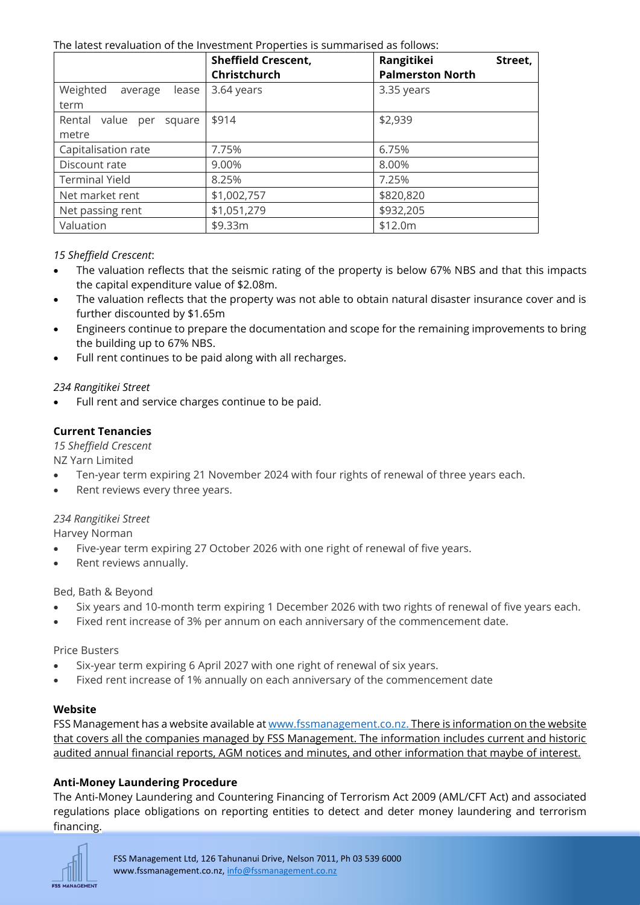#### The latest revaluation of the Investment Properties is summarised as follows:

|                                        | <b>Sheffield Crescent,</b><br>Christchurch | Rangitikei<br>Street,<br><b>Palmerston North</b> |
|----------------------------------------|--------------------------------------------|--------------------------------------------------|
| Weighted<br>lease<br>average<br>term   | 3.64 years                                 | 3.35 years                                       |
| Rental value<br>square<br>per<br>metre | \$914                                      | \$2,939                                          |
| Capitalisation rate                    | 7.75%                                      | 6.75%                                            |
| Discount rate                          | 9.00%                                      | 8.00%                                            |
| <b>Terminal Yield</b>                  | 8.25%                                      | 7.25%                                            |
| Net market rent                        | \$1,002,757                                | \$820,820                                        |
| Net passing rent                       | \$1,051,279                                | \$932,205                                        |
| Valuation                              | \$9.33m                                    | \$12.0m                                          |

## *15 Sheffield Crescent*:

- The valuation reflects that the seismic rating of the property is below 67% NBS and that this impacts the capital expenditure value of \$2.08m.
- The valuation reflects that the property was not able to obtain natural disaster insurance cover and is further discounted by \$1.65m
- Engineers continue to prepare the documentation and scope for the remaining improvements to bring the building up to 67% NBS.
- Full rent continues to be paid along with all recharges.

## *234 Rangitikei Street*

Full rent and service charges continue to be paid.

# **Current Tenancies**

*15 Sheffield Crescent*

NZ Yarn Limited

- Ten-year term expiring 21 November 2024 with four rights of renewal of three years each.
- Rent reviews every three years.

## *234 Rangitikei Street*

Harvey Norman

- Five-year term expiring 27 October 2026 with one right of renewal of five years.
- Rent reviews annually.

Bed, Bath & Beyond

- Six years and 10-month term expiring 1 December 2026 with two rights of renewal of five years each.
- Fixed rent increase of 3% per annum on each anniversary of the commencement date.

Price Busters

- Six-year term expiring 6 April 2027 with one right of renewal of six years.
- Fixed rent increase of 1% annually on each anniversary of the commencement date

## **Website**

FSS Management has a website available at [www.fssmanagement.co.nz.](http://www.fssmanagement.co.nz/) There is information on the website that covers all the companies managed by FSS Management. The information includes current and historic audited annual financial reports, AGM notices and minutes, and other information that maybe of interest.

# **Anti-Money Laundering Procedure**

The Anti-Money Laundering and Countering Financing of Terrorism Act 2009 (AML/CFT Act) and associated regulations place obligations on reporting entities to detect and deter money laundering and terrorism financing.